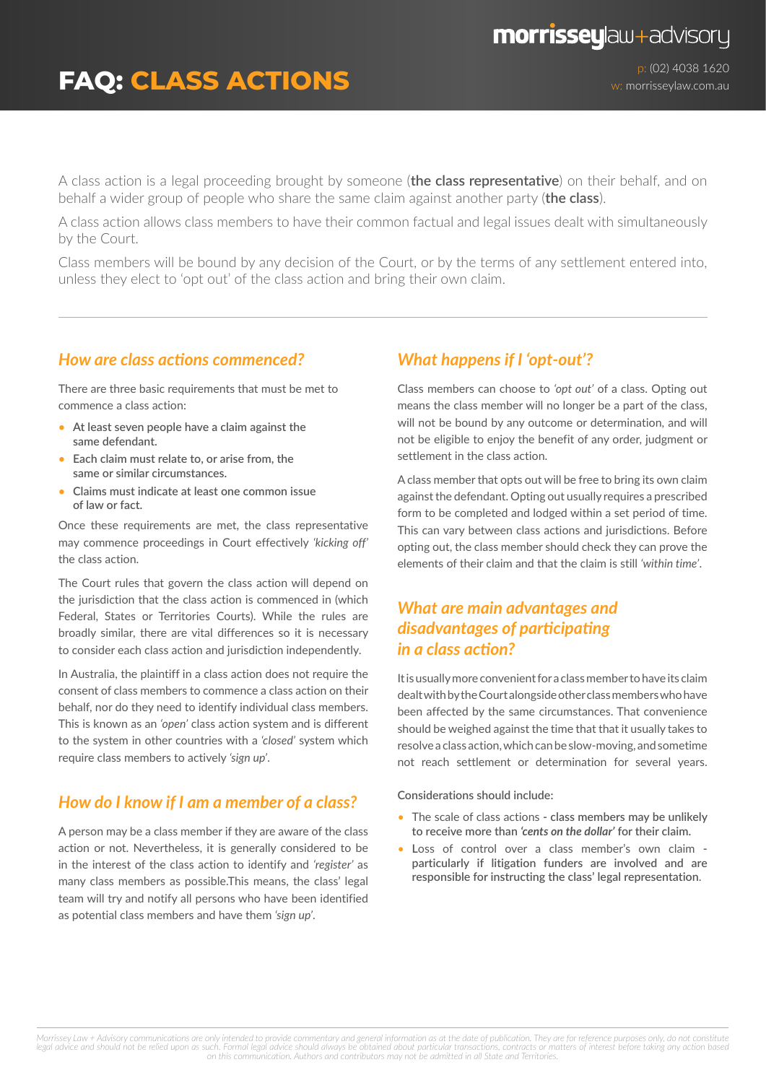# **FAQ: CLASS ACTIONS**

p: (02) 4038 1620 w: morrisseylaw.com.au

A class action is a legal proceeding brought by someone (**the class representative**) on their behalf, and on behalf a wider group of people who share the same claim against another party (**the class**).

A class action allows class members to have their common factual and legal issues dealt with simultaneously by the Court.

Class members will be bound by any decision of the Court, or by the terms of any settlement entered into, unless they elect to 'opt out' of the class action and bring their own claim.

### *How are class actions commenced?*

There are three basic requirements that must be met to commence a class action:

- **• At least seven people have a claim against the same defendant.**
- **• Each claim must relate to, or arise from, the same or similar circumstances.**
- **• Claims must indicate at least one common issue of law or fact.**

Once these requirements are met, the class representative may commence proceedings in Court effectively *'kicking off'* the class action.

The Court rules that govern the class action will depend on the jurisdiction that the class action is commenced in (which Federal, States or Territories Courts). While the rules are broadly similar, there are vital differences so it is necessary to consider each class action and jurisdiction independently.

In Australia, the plaintiff in a class action does not require the consent of class members to commence a class action on their behalf, nor do they need to identify individual class members. This is known as an *'open'* class action system and is different to the system in other countries with a *'closed'* system which require class members to actively *'sign up'*.

### *How do I know if I am a member of a class?*

A person may be a class member if they are aware of the class action or not. Nevertheless, it is generally considered to be in the interest of the class action to identify and *'register'* as many class members as possible.This means, the class' legal team will try and notify all persons who have been identified as potential class members and have them *'sign up'*.

#### *What happens if I 'opt-out'?*

Class members can choose to *'opt out'* of a class. Opting out means the class member will no longer be a part of the class, will not be bound by any outcome or determination, and will not be eligible to enjoy the benefit of any order, judgment or settlement in the class action.

A class member that opts out will be free to bring its own claim against the defendant. Opting out usually requires a prescribed form to be completed and lodged within a set period of time. This can vary between class actions and jurisdictions. Before opting out, the class member should check they can prove the elements of their claim and that the claim is still *'within time'*.

## *What are main advantages and disadvantages of participating in a class action?*

It is usually more convenient for a class member to have its claim dealt with by the Court alongside other class members who have been affected by the same circumstances. That convenience should be weighed against the time that that it usually takes to resolve a class action, which can be slow‑moving, and sometime not reach settlement or determination for several years.

**Considerations should include:**

- The scale of class actions  **class members may be unlikely to receive more than** *'cents on the dollar'* **for their claim.**
- **L**oss of control over a class member's own claim  **particularly if litigation funders are involved and are responsible for instructing the class' legal representation**.

Morrissey Law + Advisory communications are only intended to provide commentary and general information as at the date of publication. They are for reference purposes only, do not constitute<br>legal advice and should not be *on this communication. Authors and contributors may not be admitted in all State and Territories.*